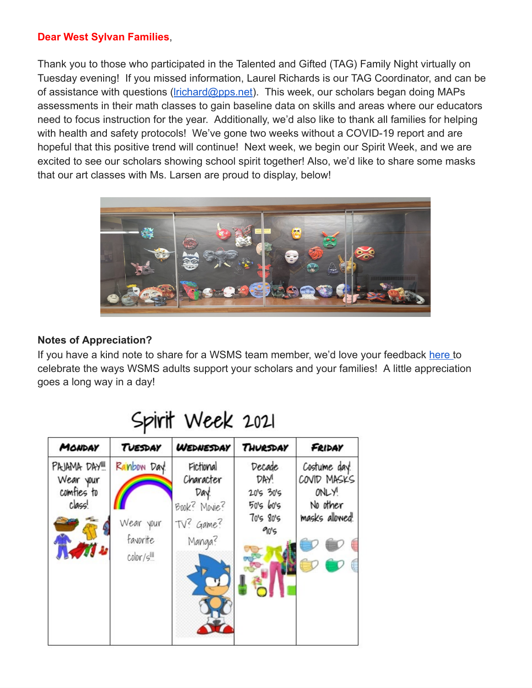#### **Dear West Sylvan Families**,

Thank you to those who participated in the Talented and Gifted (TAG) Family Night virtually on Tuesday evening! If you missed information, Laurel Richards is our TAG Coordinator, and can be of assistance with questions ( $lrichard@pps.net$ ). This week, our scholars began doing MAPs assessments in their math classes to gain baseline data on skills and areas where our educators need to focus instruction for the year. Additionally, we'd also like to thank all families for helping with health and safety protocols! We've gone two weeks without a COVID-19 report and are hopeful that this positive trend will continue! Next week, we begin our Spirit Week, and we are excited to see our scholars showing school spirit together! Also, we'd like to share some masks that our art classes with Ms. Larsen are proud to display, below!



## **Notes of Appreciation?**

If you have a kind note to share for a WSMS team member, we'd love your feedback [here](https://forms.gle/3TsJKYDfcfbLhiKu7) to celebrate the ways WSMS adults support your scholars and your families! A little appreciation goes a long way in a day!

| MONDAY                                           | TUESDAY                                                  | <b>WEDNESDAY</b>                                                      | THURSDAY                                                      | FRIDAY                                                             |
|--------------------------------------------------|----------------------------------------------------------|-----------------------------------------------------------------------|---------------------------------------------------------------|--------------------------------------------------------------------|
| PAJAMA DAY!<br>Wear your<br>comfies to<br>clags! | Ranbow Day.<br>Wear your<br>favorite<br>$\text{color/s}$ | Fictional<br>Character<br>Day!<br>Book? Movie?<br>TV? Game?<br>Manga? | Decade<br>DAY!<br>2015 3015<br>50's 60's<br>70's 80's<br>90's | Costume day!<br>COVID MASKS<br>ONLY!<br>No other<br>masks allowed! |

# Spirit Week 2021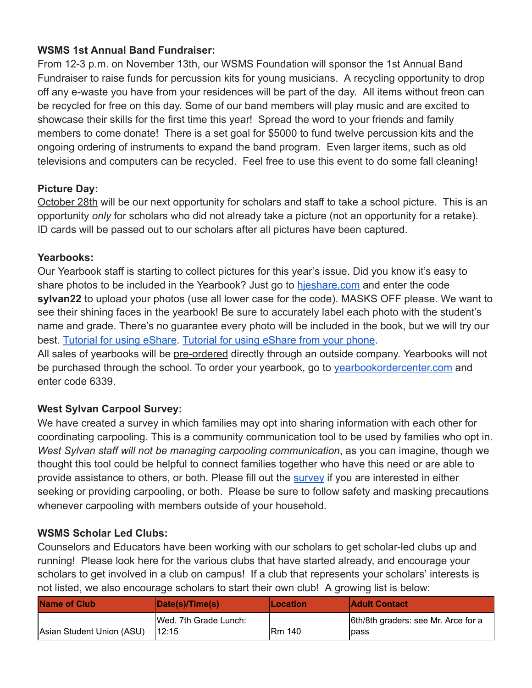### **WSMS 1st Annual Band Fundraiser:**

From 12-3 p.m. on November 13th, our WSMS Foundation will sponsor the 1st Annual Band Fundraiser to raise funds for percussion kits for young musicians. A recycling opportunity to drop off any e-waste you have from your residences will be part of the day. All items without freon can be recycled for free on this day. Some of our band members will play music and are excited to showcase their skills for the first time this year! Spread the word to your friends and family members to come donate! There is a set goal for \$5000 to fund twelve percussion kits and the ongoing ordering of instruments to expand the band program. Even larger items, such as old televisions and computers can be recycled. Feel free to use this event to do some fall cleaning!

### **Picture Day:**

October 28th will be our next opportunity for scholars and staff to take a school picture. This is an opportunity *only* for scholars who did not already take a picture (not an opportunity for a retake). ID cards will be passed out to our scholars after all pictures have been captured.

### **Yearbooks:**

Our Yearbook staff is starting to collect pictures for this year's issue. Did you know it's easy to share photos to be included in the Yearbook? Just go to [hjeshare.com](https://hjeshare.com/eShare/) and enter the code **sylvan22** to upload your photos (use all lower case for the code). MASKS OFF please. We want to see their shining faces in the yearbook! Be sure to accurately label each photo with the student's name and grade. There's no guarantee every photo will be included in the book, but we will try our best. [Tutorial](https://herffjones.wistia.com/medias/h1e7m2ythz) for using eShare. [Tutorial](https://herffjones.wistia.com/medias/62ap3qbbp3) for using eShare from your phone.

All sales of yearbooks will be pre-ordered directly through an outside company. Yearbooks will not be purchased through the school. To order your yearbook, go to vearbookordercenter.com and enter code 6339.

## **West Sylvan Carpool Survey:**

We have created a survey in which families may opt into sharing information with each other for coordinating carpooling. This is a community communication tool to be used by families who opt in. *West Sylvan staff will not be managing carpooling communication*, as you can imagine, though we thought this tool could be helpful to connect families together who have this need or are able to provide assistance to others, or both. Please fill out the [survey](https://forms.gle/kBphkhYJcXz347qv7) if you are interested in either seeking or providing carpooling, or both. Please be sure to follow safety and masking precautions whenever carpooling with members outside of your household.

#### **WSMS Scholar Led Clubs:**

Counselors and Educators have been working with our scholars to get scholar-led clubs up and running! Please look here for the various clubs that have started already, and encourage your scholars to get involved in a club on campus! If a club that represents your scholars' interests is not listed, we also encourage scholars to start their own club! A growing list is below:

| <b>Name of Club</b>       | Date(s)/Time(s)       | <b>ILocation</b> | <b>Adult Contact</b>                |
|---------------------------|-----------------------|------------------|-------------------------------------|
|                           | Wed. 7th Grade Lunch: |                  | 6th/8th graders: see Mr. Arce for a |
| Asian Student Union (ASU) | 112:15                | <b>IRm 140</b>   | lpass                               |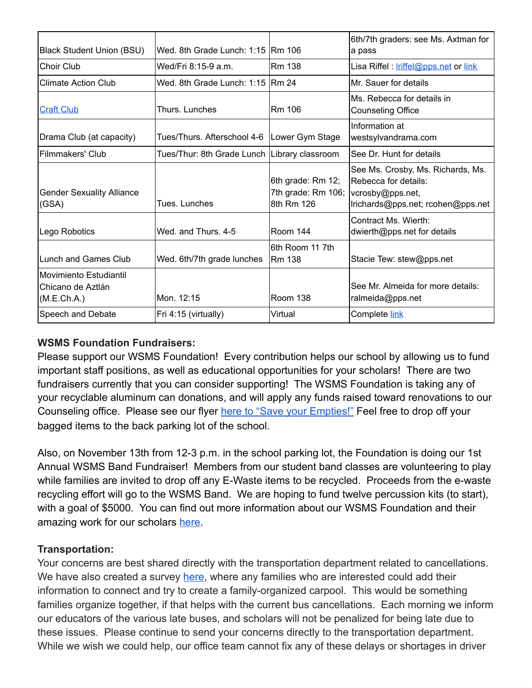| <b>Black Student Union (BSU)</b>                           | Wed. 8th Grade Lunch: 1:15 Rm 106              |                                                                        | 6th/7th graders: see Ms. Axtman for<br>a pass                                                  |
|------------------------------------------------------------|------------------------------------------------|------------------------------------------------------------------------|------------------------------------------------------------------------------------------------|
| Choir Club                                                 | Wed/Fri 8:15-9 a.m.                            | Rm 138                                                                 | Lisa Riffel : <i>Iriffel@pps.net</i> or link                                                   |
| <b>Climate Action Club</b>                                 | Wed. 8th Grade Lunch: 1:15 Rm 24               |                                                                        | Mr. Sauer for details                                                                          |
| <b>Craft Club</b>                                          | Thurs. Lunches                                 | <b>Rm</b> 106                                                          | Ms. Rebecca for details in<br><b>Counseling Office</b>                                         |
| Drama Club (at capacity)                                   | Tues/Thurs. Afterschool 4-6   Lower Gym Stage  |                                                                        | Information at<br>westsylvandrama.com                                                          |
| Filmmakers' Club                                           | Tues/Thur: 8th Grade Lunch   Library classroom |                                                                        | See Dr. Hunt for details                                                                       |
| <b>Gender Sexuality Alliance</b><br>(GSA)                  | Tues, Lunches                                  | 6th grade: Rm 12;<br>7th grade: Rm 106; vcrosby@pps.net,<br>8th Rm 126 | See Ms. Crosby, Ms. Richards, Ms.<br>Rebecca for details:<br>Irichards@pps.net; rcohen@pps.net |
| Lego Robotics                                              | Wed. and Thurs, 4-5                            | Room 144                                                               | Contract Ms. Wierth:<br>dwierth@pps.net for details                                            |
| Lunch and Games Club                                       | Wed. 6th/7th grade lunches                     | 6th Room 11 7th<br>Rm 138                                              | Stacie Tew: stew@pps.net                                                                       |
| Movimiento Estudiantil<br>Chicano de Aztlán<br>(M.E.Ch.A.) | Mon. 12:15                                     | Room 138                                                               | See Mr. Almeida for more details:<br>ralmeida@pps.net                                          |
| Speech and Debate                                          | Fri 4:15 (virtually)                           | Virtual                                                                | Complete link                                                                                  |

## **WSMS Foundation Fundraisers:**

Please support our WSMS Foundation! Every contribution helps our school by allowing us to fund important staff positions, as well as educational opportunities for your scholars! There are two fundraisers currently that you can consider supporting! The WSMS Foundation is taking any of your recyclable aluminum can donations, and will apply any funds raised toward renovations to our Counseling office. Please see our flyer here to "Save your [Empties!"](https://drive.google.com/file/d/14pkOdS__nV85KTj8x-1k21wFxJdu7Gin/view?usp=sharing) Feel free to drop off your bagged items to the back parking lot of the school.

Also, on November 13th from 12-3 p.m. in the school parking lot, the Foundation is doing our 1st Annual WSMS Band Fundraiser! Members from our student band classes are volunteering to play while families are invited to drop off any E-Waste items to be recycled. Proceeds from the e-waste recycling effort will go to the WSMS Band. We are hoping to fund twelve percussion kits (to start), with a goal of \$5000. You can find out more information about our WSMS Foundation and their amazing work for our scholars [here](https://www.westsylvanfoundation.com/).

## **Transportation:**

Your concerns are best shared directly with the transportation department related to cancellations. We have also created a survey [here](https://forms.gle/kBphkhYJcXz347qv7), where any families who are interested could add their information to connect and try to create a family-organized carpool. This would be something families organize together, if that helps with the current bus cancellations. Each morning we inform our educators of the various late buses, and scholars will not be penalized for being late due to these issues. Please continue to send your concerns directly to the transportation department. While we wish we could help, our office team cannot fix any of these delays or shortages in driver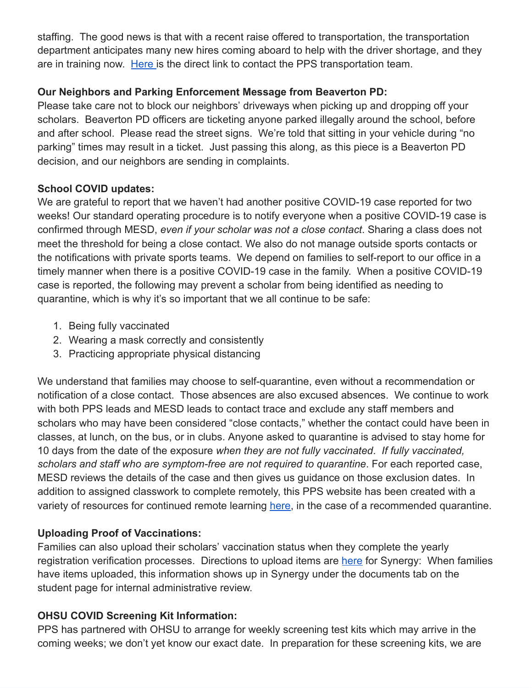staffing. The good news is that with a recent raise offered to transportation, the transportation department anticipates many new hires coming aboard to help with the driver shortage, and they are in training now. [Here](https://www.pps.net/Page/115) is the direct link to contact the PPS transportation team.

## **Our Neighbors and Parking Enforcement Message from Beaverton PD:**

Please take care not to block our neighbors' driveways when picking up and dropping off your scholars. Beaverton PD officers are ticketing anyone parked illegally around the school, before and after school. Please read the street signs. We're told that sitting in your vehicle during "no parking" times may result in a ticket. Just passing this along, as this piece is a Beaverton PD decision, and our neighbors are sending in complaints.

## **School COVID updates:**

We are grateful to report that we haven't had another positive COVID-19 case reported for two weeks! Our standard operating procedure is to notify everyone when a positive COVID-19 case is confirmed through MESD, *even if your scholar was not a close contact*. Sharing a class does not meet the threshold for being a close contact. We also do not manage outside sports contacts or the notifications with private sports teams. We depend on families to self-report to our office in a timely manner when there is a positive COVID-19 case in the family. When a positive COVID-19 case is reported, the following may prevent a scholar from being identified as needing to quarantine, which is why it's so important that we all continue to be safe:

- 1. Being fully vaccinated
- 2. Wearing a mask correctly and consistently
- 3. Practicing appropriate physical distancing

We understand that families may choose to self-quarantine, even without a recommendation or notification of a close contact. Those absences are also excused absences. We continue to work with both PPS leads and MESD leads to contact trace and exclude any staff members and scholars who may have been considered "close contacts," whether the contact could have been in classes, at lunch, on the bus, or in clubs. Anyone asked to quarantine is advised to stay home for 10 days from the date of the exposure *when they are not fully vaccinated*. *If fully vaccinated, scholars and staff who are symptom-free are not required to quarantine*. For each reported case, MESD reviews the details of the case and then gives us guidance on those exclusion dates. In addition to assigned classwork to complete remotely, this PPS website has been created with a variety of resources for continued remote learning [here](https://sites.google.com/pps.net/ppsquarantinelessons/home?authuser=0), in the case of a recommended quarantine.

# **Uploading Proof of Vaccinations:**

Families can also upload their scholars' vaccination status when they complete the yearly registration verification processes. Directions to upload items are [here](https://docs.google.com/document/d/1AxHhVVEjAqJxV1Vuh9PnfwkZHcp-Tde_x6iFOOEy58Y/edit) for Synergy: When families have items uploaded, this information shows up in Synergy under the documents tab on the student page for internal administrative review.

## **OHSU COVID Screening Kit Information:**

PPS has partnered with OHSU to arrange for weekly screening test kits which may arrive in the coming weeks; we don't yet know our exact date. In preparation for these screening kits, we are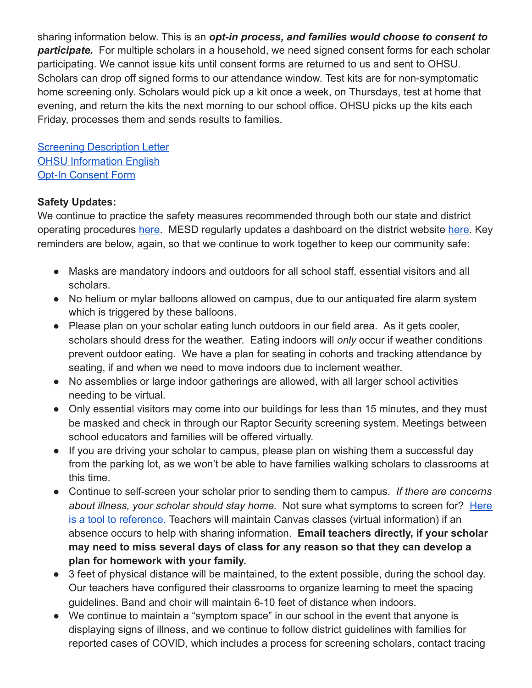sharing information below. This is an *opt-in process, and families would choose to consent to participate.* For multiple scholars in a household, we need signed consent forms for each scholar participating. We cannot issue kits until consent forms are returned to us and sent to OHSU. Scholars can drop off signed forms to our attendance window. Test kits are for non-symptomatic home screening only. Scholars would pick up a kit once a week, on Thursdays, test at home that evening, and return the kits the next morning to our school office. OHSU picks up the kits each Friday, processes them and sends results to families.

**Screening [Description](https://drive.google.com/file/d/12Z90ONF4FucYQEY1m9-dirsQF39L4si-/view?usp=sharing) Letter** OHSU [Information](https://drive.google.com/file/d/1c68pUs3D8wSuSpbB4BtpkbXNDaAs5TOt/view?usp=sharing) English Opt-In [Consent](https://drive.google.com/file/d/1NKzp7NpCNYH5kn2GMiXyKcxuNDartL3g/view?usp=sharing) Form

### **Safety Updates:**

We continue to practice the safety measures recommended through both our state and district operating procedures [here.](https://www.mkt-box.com/pps/backtoschool2021) MESD regularly updates a dashboard on the district website [here](https://www.pps.net/Page/17493). Key reminders are below, again, so that we continue to work together to keep our community safe:

- Masks are mandatory indoors and outdoors for all school staff, essential visitors and all scholars.
- No helium or mylar balloons allowed on campus, due to our antiquated fire alarm system which is triggered by these balloons.
- Please plan on your scholar eating lunch outdoors in our field area. As it gets cooler, scholars should dress for the weather. Eating indoors will *only* occur if weather conditions prevent outdoor eating. We have a plan for seating in cohorts and tracking attendance by seating, if and when we need to move indoors due to inclement weather.
- No assemblies or large indoor gatherings are allowed, with all larger school activities needing to be virtual.
- Only essential visitors may come into our buildings for less than 15 minutes, and they must be masked and check in through our Raptor Security screening system. Meetings between school educators and families will be offered virtually.
- If you are driving your scholar to campus, please plan on wishing them a successful day from the parking lot, as we won't be able to have families walking scholars to classrooms at this time.
- Continue to self-screen your scholar prior to sending them to campus. *If there are concerns about illness, your scholar should stay home.* Not sure what symptoms to screen for? [Here](https://drive.google.com/file/d/11JUUD1JteACFnaq61wBrtLFaTwgfvWVX/view?usp=sharing) is a tool to [reference.](https://drive.google.com/file/d/11JUUD1JteACFnaq61wBrtLFaTwgfvWVX/view?usp=sharing) Teachers will maintain Canvas classes (virtual information) if an absence occurs to help with sharing information. **Email teachers directly, if your scholar may need to miss several days of class for any reason so that they can develop a plan for homework with your family.**
- 3 feet of physical distance will be maintained, to the extent possible, during the school day. Our teachers have configured their classrooms to organize learning to meet the spacing guidelines. Band and choir will maintain 6-10 feet of distance when indoors.
- We continue to maintain a "symptom space" in our school in the event that anyone is displaying signs of illness, and we continue to follow district guidelines with families for reported cases of COVID, which includes a process for screening scholars, contact tracing